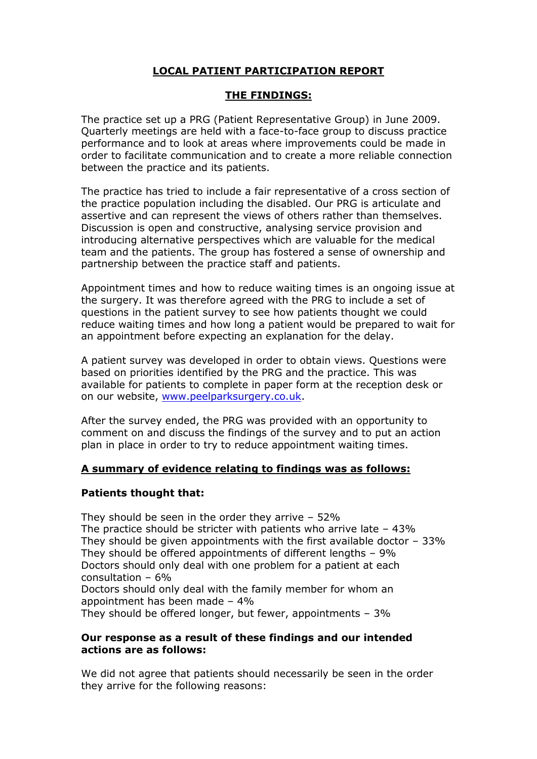# **LOCAL PATIENT PARTICIPATION REPORT**

## **THE FINDINGS:**

The practice set up a PRG (Patient Representative Group) in June 2009. Quarterly meetings are held with a face-to-face group to discuss practice performance and to look at areas where improvements could be made in order to facilitate communication and to create a more reliable connection between the practice and its patients.

The practice has tried to include a fair representative of a cross section of the practice population including the disabled. Our PRG is articulate and assertive and can represent the views of others rather than themselves. Discussion is open and constructive, analysing service provision and introducing alternative perspectives which are valuable for the medical team and the patients. The group has fostered a sense of ownership and partnership between the practice staff and patients.

Appointment times and how to reduce waiting times is an ongoing issue at the surgery. It was therefore agreed with the PRG to include a set of questions in the patient survey to see how patients thought we could reduce waiting times and how long a patient would be prepared to wait for an appointment before expecting an explanation for the delay.

A patient survey was developed in order to obtain views. Questions were based on priorities identified by the PRG and the practice. This was available for patients to complete in paper form at the reception desk or on our website, [www.peelparksurgery.co.uk.](http://www.peelparksurgery.co.uk/)

After the survey ended, the PRG was provided with an opportunity to comment on and discuss the findings of the survey and to put an action plan in place in order to try to reduce appointment waiting times.

### **A summary of evidence relating to findings was as follows:**

### **Patients thought that:**

They should be seen in the order they arrive  $-52\%$ The practice should be stricter with patients who arrive late – 43% They should be given appointments with the first available doctor – 33% They should be offered appointments of different lengths – 9% Doctors should only deal with one problem for a patient at each consultation – 6% Doctors should only deal with the family member for whom an appointment has been made – 4% They should be offered longer, but fewer, appointments – 3%

#### **Our response as a result of these findings and our intended actions are as follows:**

We did not agree that patients should necessarily be seen in the order they arrive for the following reasons: